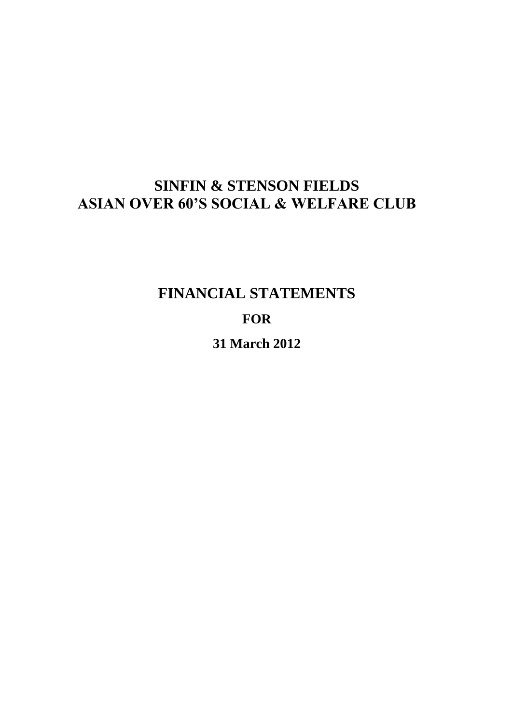# **SINFIN & STENSON FIELDS ASIAN OVER 60'S SOCIAL & WELFARE CLUB**

**FINANCIAL STATEMENTS FOR 31 March 2012**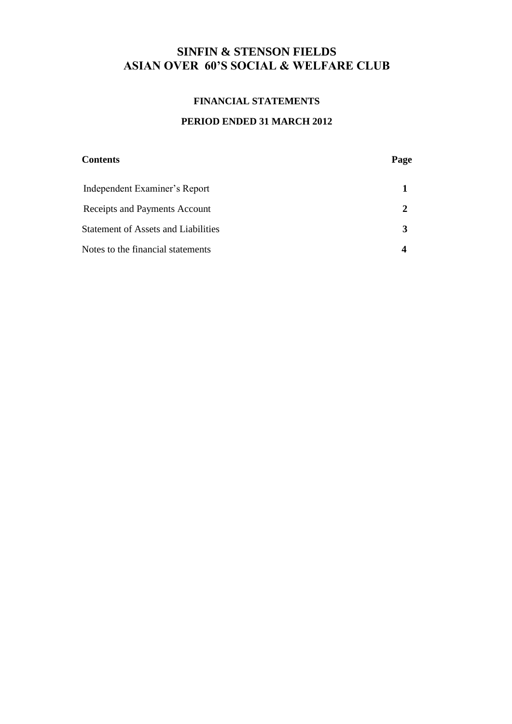## **SINFIN & STENSON FIELDS ASIAN OVER 60'S SOCIAL & WELFARE CLUB**

## **FINANCIAL STATEMENTS**

### **PERIOD ENDED 31 MARCH 2012**

| <b>Contents</b>                            | Page |
|--------------------------------------------|------|
| Independent Examiner's Report              |      |
| Receipts and Payments Account              |      |
| <b>Statement of Assets and Liabilities</b> |      |
| Notes to the financial statements          |      |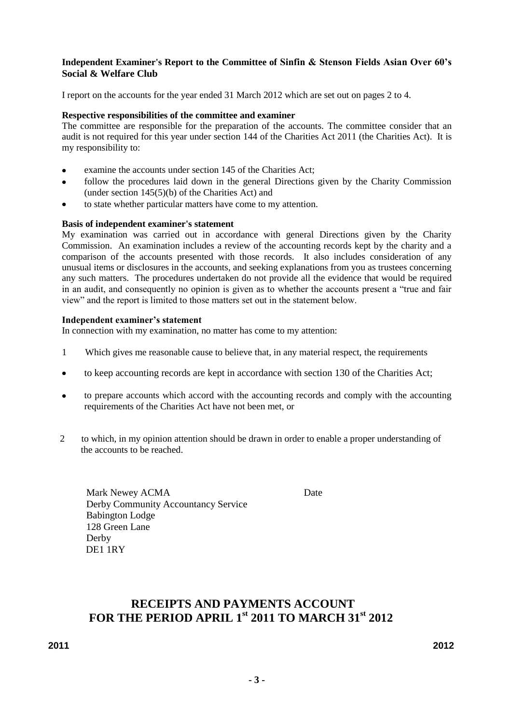#### **Independent Examiner's Report to the Committee of Sinfin & Stenson Fields Asian Over 60's Social & Welfare Club**

I report on the accounts for the year ended 31 March 2012 which are set out on pages 2 to 4.

#### **Respective responsibilities of the committee and examiner**

The committee are responsible for the preparation of the accounts. The committee consider that an audit is not required for this year under section 144 of the Charities Act 2011 (the Charities Act). It is my responsibility to:

- examine the accounts under section 145 of the Charities Act;
- follow the procedures laid down in the general Directions given by the Charity Commission  $\bullet$ (under section 145(5)(b) of the Charities Act) and
- to state whether particular matters have come to my attention.

#### **Basis of independent examiner's statement**

My examination was carried out in accordance with general Directions given by the Charity Commission. An examination includes a review of the accounting records kept by the charity and a comparison of the accounts presented with those records. It also includes consideration of any unusual items or disclosures in the accounts, and seeking explanations from you as trustees concerning any such matters. The procedures undertaken do not provide all the evidence that would be required in an audit, and consequently no opinion is given as to whether the accounts present a "true and fair view" and the report is limited to those matters set out in the statement below.

#### **Independent examiner's statement**

In connection with my examination, no matter has come to my attention:

- 1 Which gives me reasonable cause to believe that, in any material respect, the requirements
- to keep accounting records are kept in accordance with section 130 of the Charities Act;  $\bullet$
- to prepare accounts which accord with the accounting records and comply with the accounting  $\bullet$ requirements of the Charities Act have not been met, or
- 2 to which, in my opinion attention should be drawn in order to enable a proper understanding of the accounts to be reached.

Mark Newey ACMA Date Derby Community Accountancy Service Babington Lodge 128 Green Lane Derby DE1 1RY

## **RECEIPTS AND PAYMENTS ACCOUNT FOR THE PERIOD APRIL 1st 2011 TO MARCH 31st 2012**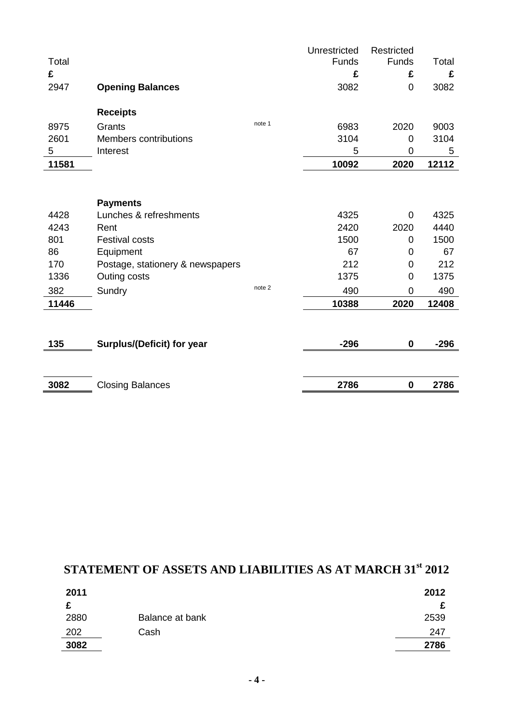| Total<br>£ |                                   |        | Unrestricted<br>Funds<br>£ | Restricted<br>Funds<br>£ | Total<br>£ |
|------------|-----------------------------------|--------|----------------------------|--------------------------|------------|
| 2947       | <b>Opening Balances</b>           |        | 3082                       | 0                        | 3082       |
|            | <b>Receipts</b>                   |        |                            |                          |            |
| 8975       | Grants                            | note 1 | 6983                       | 2020                     | 9003       |
| 2601       | <b>Members contributions</b>      |        | 3104                       | 0                        | 3104       |
| 5          | Interest                          |        | 5                          | 0                        | 5          |
| 11581      |                                   |        | 10092                      | 2020                     | 12112      |
|            | <b>Payments</b>                   |        |                            |                          |            |
| 4428       | Lunches & refreshments            |        | 4325                       | 0                        | 4325       |
| 4243       | Rent                              |        | 2420                       | 2020                     | 4440       |
| 801        | <b>Festival costs</b>             |        | 1500                       | 0                        | 1500       |
| 86         | Equipment                         |        | 67                         | 0                        | 67         |
| 170        | Postage, stationery & newspapers  |        | 212                        | 0                        | 212        |
| 1336       | Outing costs                      |        | 1375                       | $\mathbf 0$              | 1375       |
| 382        | Sundry                            | note 2 | 490                        | $\overline{0}$           | 490        |
| 11446      |                                   |        | 10388                      | 2020                     | 12408      |
|            |                                   |        |                            |                          |            |
| 135        | <b>Surplus/(Deficit) for year</b> |        | $-296$                     | $\mathbf 0$              | $-296$     |
|            |                                   |        |                            |                          |            |
| 3082       | <b>Closing Balances</b>           |        | 2786                       | $\bf{0}$                 | 2786       |

# **STATEMENT OF ASSETS AND LIABILITIES AS AT MARCH 31st 2012**

| 2011 |                 | 2012 |
|------|-----------------|------|
| r    |                 | c    |
| 2880 | Balance at bank | 2539 |
| 202  | Cash            | 247  |
| 3082 |                 | 2786 |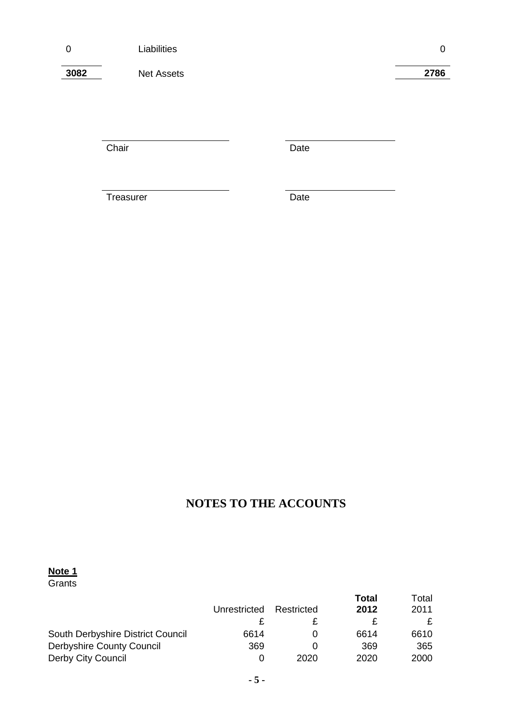**3082** Net Assets **2786**

Chair **Date** 

Treasurer Date

# **NOTES TO THE ACCOUNTS**

#### **Note 1**

**Grants** 

|                                   | Unrestricted | Restricted | Total<br>2012 | Total<br>2011 |
|-----------------------------------|--------------|------------|---------------|---------------|
|                                   |              |            |               | £             |
| South Derbyshire District Council | 6614         |            | 6614          | 6610          |
| <b>Derbyshire County Council</b>  | 369          |            | 369           | 365           |
| Derby City Council                |              | 2020       | 2020          | 2000          |